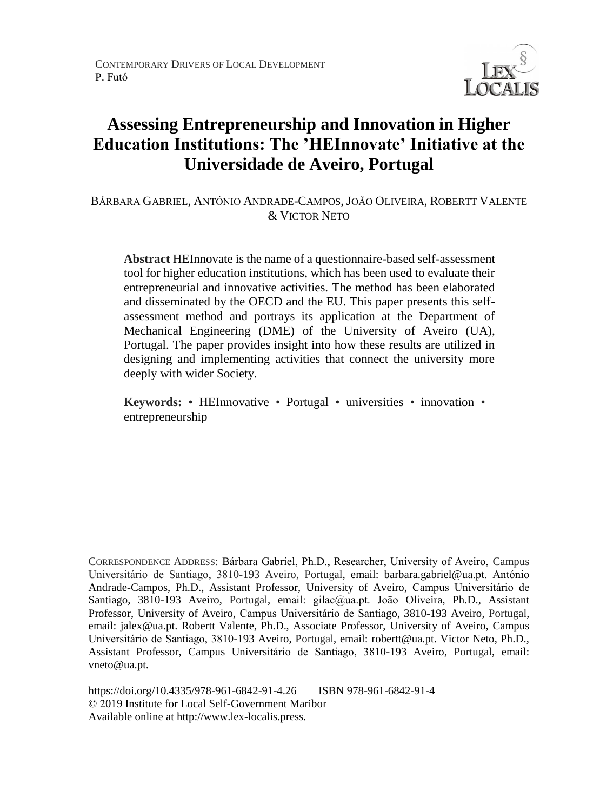

# **Assessing Entrepreneurship and Innovation in Higher Education Institutions: The 'HEInnovate' Initiative at the Universidade de Aveiro, Portugal**

BÁRBARA GABRIEL, ANTÓNIO ANDRADE-CAMPOS, JOÃO OLIVEIRA, ROBERTT VALENTE & VICTOR NETO

**Abstract** HEInnovate is the name of a questionnaire-based self-assessment tool for higher education institutions, which has been used to evaluate their entrepreneurial and innovative activities. The method has been elaborated and disseminated by the OECD and the EU. This paper presents this selfassessment method and portrays its application at the Department of Mechanical Engineering (DME) of the University of Aveiro (UA), Portugal. The paper provides insight into how these results are utilized in designing and implementing activities that connect the university more deeply with wider Society.

**Keywords:** • HEInnovative • Portugal • universities • innovation • entrepreneurship

 $\overline{a}$ 

CORRESPONDENCE ADDRESS: Bárbara Gabriel, Ph.D., Researcher, University of Aveiro, Campus Universitário de Santiago, 3810-193 Aveiro, Portugal, email: barbara.gabriel@ua.pt. António Andrade-Campos, Ph.D., Assistant Professor, University of Aveiro, Campus Universitário de Santiago, 3810-193 Aveiro, Portugal, email: gilac@ua.pt. João Oliveira, Ph.D., Assistant Professor, University of Aveiro, Campus Universitário de Santiago, 3810-193 Aveiro, Portugal, email: jalex@ua.pt. Robertt Valente, Ph.D., Associate Professor, University of Aveiro, Campus Universitário de Santiago, 3810-193 Aveiro, Portugal, email: robertt@ua.pt. Victor Neto, Ph.D., Assistant Professor, Campus Universitário de Santiago, 3810-193 Aveiro, Portugal, email: vneto@ua.pt.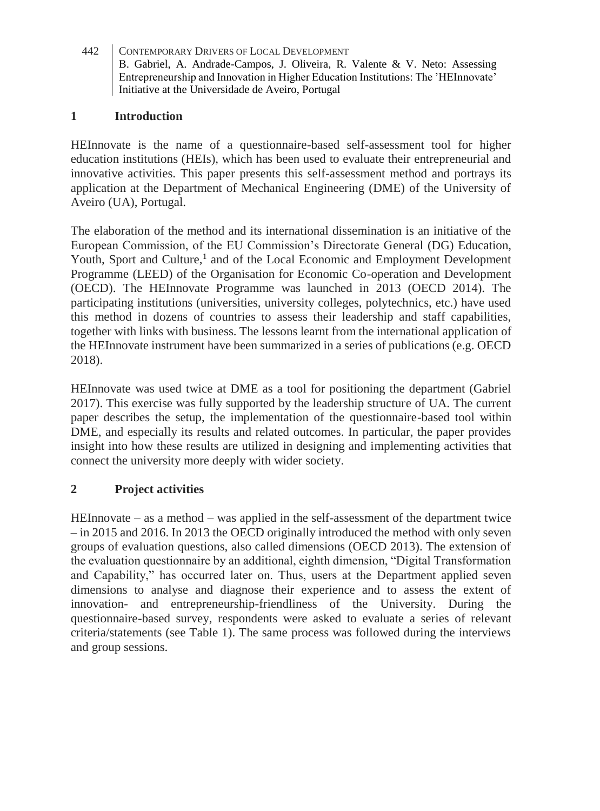### **1 Introduction**

HEInnovate is the name of a questionnaire-based self-assessment tool for higher education institutions (HEIs), which has been used to evaluate their entrepreneurial and innovative activities. This paper presents this self-assessment method and portrays its application at the Department of Mechanical Engineering (DME) of the University of Aveiro (UA), Portugal.

The elaboration of the method and its international dissemination is an initiative of the European Commission, of the EU Commission's Directorate General (DG) Education, Youth, Sport and Culture,<sup>1</sup> and of the Local Economic and Employment Development Programme (LEED) of the Organisation for Economic Co-operation and Development (OECD). The HEInnovate Programme was launched in 2013 (OECD 2014). The participating institutions (universities, university colleges, polytechnics, etc.) have used this method in dozens of countries to assess their leadership and staff capabilities, together with links with business. The lessons learnt from the international application of the HEInnovate instrument have been summarized in a series of publications (e.g. OECD 2018).

HEInnovate was used twice at DME as a tool for positioning the department (Gabriel 2017). This exercise was fully supported by the leadership structure of UA. The current paper describes the setup, the implementation of the questionnaire-based tool within DME, and especially its results and related outcomes. In particular, the paper provides insight into how these results are utilized in designing and implementing activities that connect the university more deeply with wider society.

# **2 Project activities**

HEInnovate – as a method – was applied in the self-assessment of the department twice – in 2015 and 2016. In 2013 the OECD originally introduced the method with only seven groups of evaluation questions, also called dimensions (OECD 2013). The extension of the evaluation questionnaire by an additional, eighth dimension, "Digital Transformation and Capability," has occurred later on. Thus, users at the Department applied seven dimensions to analyse and diagnose their experience and to assess the extent of innovation- and entrepreneurship-friendliness of the University. During the questionnaire-based survey, respondents were asked to evaluate a series of relevant criteria/statements (see Table 1). The same process was followed during the interviews and group sessions.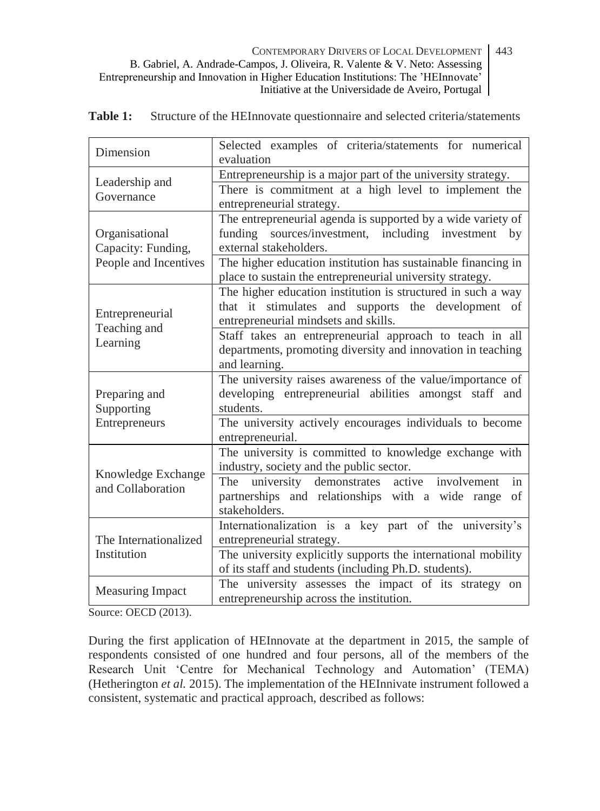| Dimension                                    | Selected examples of criteria/statements for numerical<br>evaluation                              |
|----------------------------------------------|---------------------------------------------------------------------------------------------------|
| Leadership and<br>Governance                 | Entrepreneurship is a major part of the university strategy.                                      |
|                                              | There is commitment at a high level to implement the                                              |
|                                              | entrepreneurial strategy.                                                                         |
|                                              | The entrepreneurial agenda is supported by a wide variety of                                      |
| Organisational<br>Capacity: Funding,         | funding sources/investment, including investment<br>by<br>external stakeholders.                  |
| People and Incentives                        | The higher education institution has sustainable financing in                                     |
|                                              | place to sustain the entrepreneurial university strategy.                                         |
| Entrepreneurial<br>Teaching and<br>Learning  | The higher education institution is structured in such a way                                      |
|                                              | that it stimulates and supports the development of                                                |
|                                              | entrepreneurial mindsets and skills.                                                              |
|                                              | Staff takes an entrepreneurial approach to teach in all                                           |
|                                              | departments, promoting diversity and innovation in teaching                                       |
|                                              | and learning.                                                                                     |
| Preparing and<br>Supporting<br>Entrepreneurs | The university raises awareness of the value/importance of                                        |
|                                              | developing entrepreneurial abilities amongst staff and<br>students.                               |
|                                              | The university actively encourages individuals to become                                          |
|                                              | entrepreneurial.                                                                                  |
| Knowledge Exchange<br>and Collaboration      | The university is committed to knowledge exchange with                                            |
|                                              | industry, society and the public sector.                                                          |
|                                              | in<br>university demonstrates<br>active involvement<br>The                                        |
|                                              | partnerships and relationships with a wide range<br>of                                            |
|                                              | stakeholders.                                                                                     |
| The Internationalized<br>Institution         | Internationalization is a key part of the university's                                            |
|                                              | entrepreneurial strategy.                                                                         |
|                                              | The university explicitly supports the international mobility                                     |
|                                              | of its staff and students (including Ph.D. students).                                             |
| <b>Measuring Impact</b>                      | The university assesses the impact of its strategy on<br>entrepreneurship across the institution. |
|                                              |                                                                                                   |

**Table 1:** Structure of the HEInnovate questionnaire and selected criteria/statements

Source: OECD (2013).

During the first application of HEInnovate at the department in 2015, the sample of respondents consisted of one hundred and four persons, all of the members of the Research Unit 'Centre for Mechanical Technology and Automation' (TEMA) (Hetherington *et al.* 2015). The implementation of the HEInnivate instrument followed a consistent, systematic and practical approach, described as follows: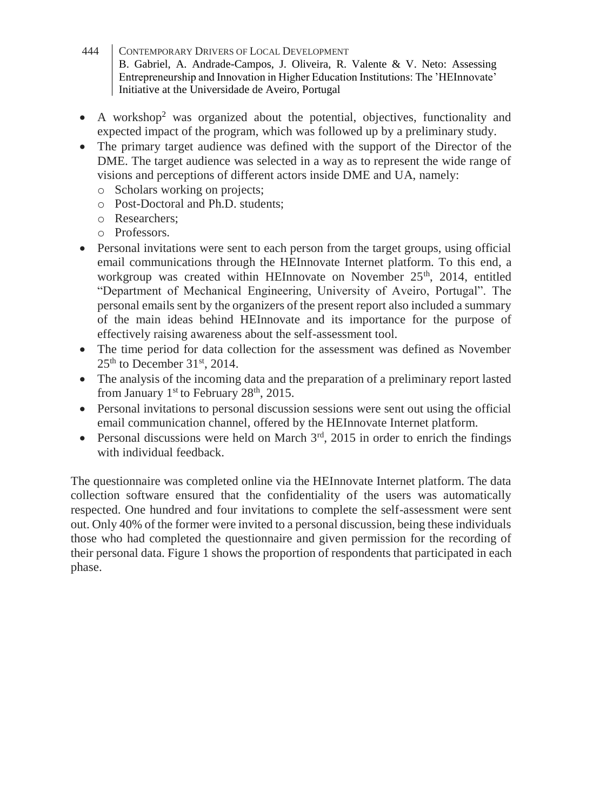- 444 CONTEMPORARY DRIVERS OF LOCAL DEVELOPMENT B. Gabriel, A. Andrade-Campos, J. Oliveira, R. Valente & V. Neto: Assessing Entrepreneurship and Innovation in Higher Education Institutions: The 'HEInnovate' Initiative at the Universidade de Aveiro, Portugal
- A workshop<sup>2</sup> was organized about the potential, objectives, functionality and expected impact of the program, which was followed up by a preliminary study.
- The primary target audience was defined with the support of the Director of the DME. The target audience was selected in a way as to represent the wide range of visions and perceptions of different actors inside DME and UA, namely:
	- o Scholars working on projects;
	- o Post-Doctoral and Ph.D. students;
	- o Researchers;
	- o Professors.
- Personal invitations were sent to each person from the target groups, using official email communications through the HEInnovate Internet platform. To this end, a workgroup was created within HEInnovate on November  $25<sup>th</sup>$ , 2014, entitled "Department of Mechanical Engineering, University of Aveiro, Portugal". The personal emails sent by the organizers of the present report also included a summary of the main ideas behind HEInnovate and its importance for the purpose of effectively raising awareness about the self-assessment tool.
- The time period for data collection for the assessment was defined as November  $25<sup>th</sup>$  to December 31<sup>st</sup>, 2014.
- The analysis of the incoming data and the preparation of a preliminary report lasted from January  $1<sup>st</sup>$  to February 28<sup>th</sup>, 2015.
- Personal invitations to personal discussion sessions were sent out using the official email communication channel, offered by the HEInnovate Internet platform.
- Personal discussions were held on March  $3<sup>rd</sup>$ , 2015 in order to enrich the findings with individual feedback.

The questionnaire was completed online via the HEInnovate Internet platform. The data collection software ensured that the confidentiality of the users was automatically respected. One hundred and four invitations to complete the self-assessment were sent out. Only 40% of the former were invited to a personal discussion, being these individuals those who had completed the questionnaire and given permission for the recording of their personal data. Figure 1 shows the proportion of respondents that participated in each phase.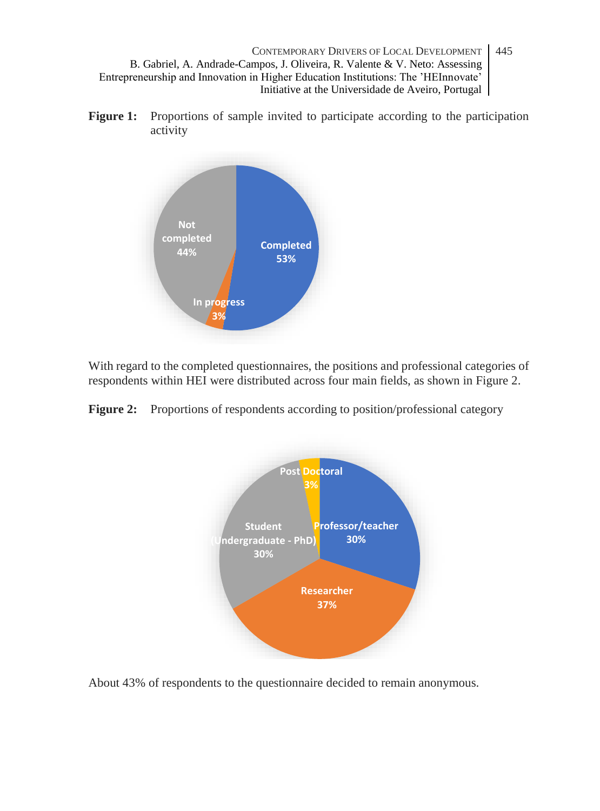**Figure 1:** Proportions of sample invited to participate according to the participation activity



With regard to the completed questionnaires, the positions and professional categories of respondents within HEI were distributed across four main fields, as shown in Figure 2.

Figure 2: Proportions of respondents according to position/professional category



About 43% of respondents to the questionnaire decided to remain anonymous.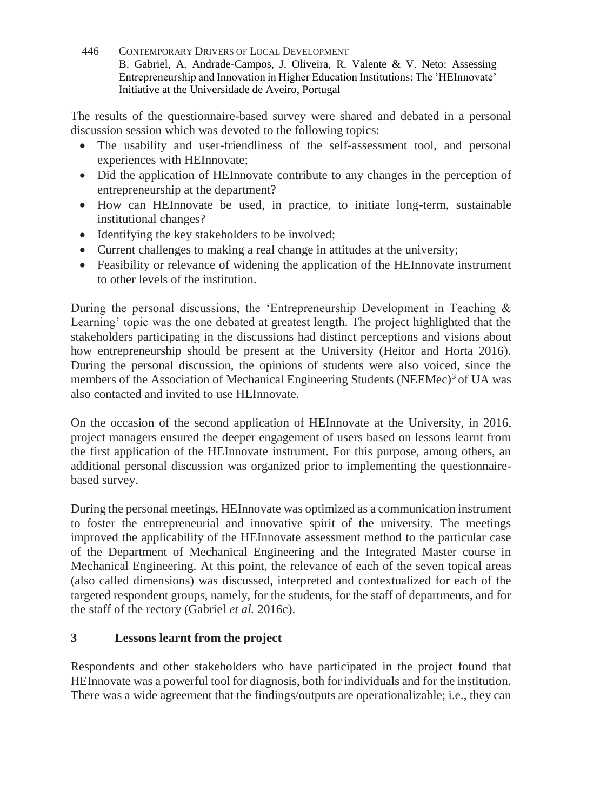The results of the questionnaire-based survey were shared and debated in a personal discussion session which was devoted to the following topics:

- The usability and user-friendliness of the self-assessment tool, and personal experiences with HEInnovate;
- Did the application of HEInnovate contribute to any changes in the perception of entrepreneurship at the department?
- How can HEInnovate be used, in practice, to initiate long-term, sustainable institutional changes?
- Identifying the key stakeholders to be involved;
- Current challenges to making a real change in attitudes at the university;
- Feasibility or relevance of widening the application of the HEInnovate instrument to other levels of the institution.

During the personal discussions, the 'Entrepreneurship Development in Teaching & Learning' topic was the one debated at greatest length. The project highlighted that the stakeholders participating in the discussions had distinct perceptions and visions about how entrepreneurship should be present at the University (Heitor and Horta 2016). During the personal discussion, the opinions of students were also voiced, since the members of the Association of Mechanical Engineering Students (NEEMec)<sup>3</sup> of UA was also contacted and invited to use HEInnovate.

On the occasion of the second application of HEInnovate at the University, in 2016, project managers ensured the deeper engagement of users based on lessons learnt from the first application of the HEInnovate instrument. For this purpose, among others, an additional personal discussion was organized prior to implementing the questionnairebased survey.

During the personal meetings, HEInnovate was optimized as a communication instrument to foster the entrepreneurial and innovative spirit of the university. The meetings improved the applicability of the HEInnovate assessment method to the particular case of the Department of Mechanical Engineering and the Integrated Master course in Mechanical Engineering. At this point, the relevance of each of the seven topical areas (also called dimensions) was discussed, interpreted and contextualized for each of the targeted respondent groups, namely, for the students, for the staff of departments, and for the staff of the rectory (Gabriel *et al.* 2016c).

# **3 Lessons learnt from the project**

Respondents and other stakeholders who have participated in the project found that HEInnovate was a powerful tool for diagnosis, both for individuals and for the institution. There was a wide agreement that the findings/outputs are operationalizable; i.e., they can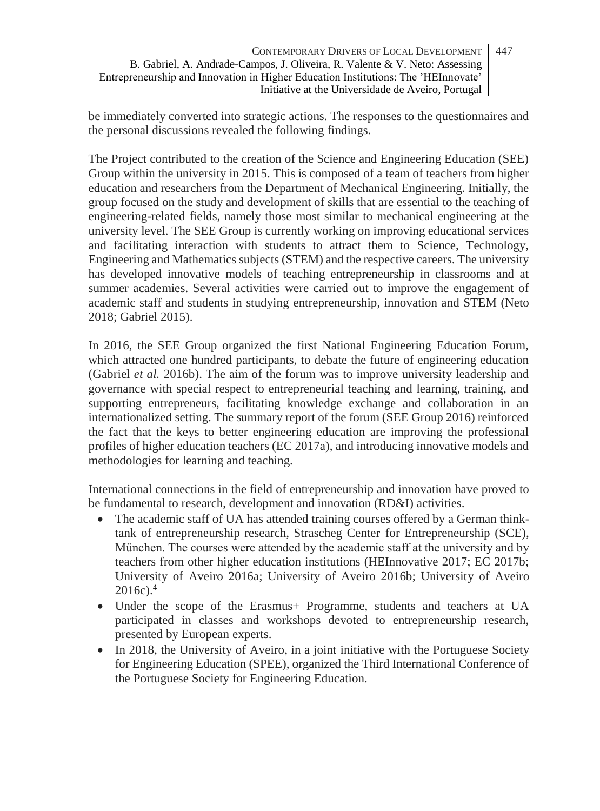be immediately converted into strategic actions. The responses to the questionnaires and the personal discussions revealed the following findings.

The Project contributed to the creation of the Science and Engineering Education (SEE) Group within the university in 2015. This is composed of a team of teachers from higher education and researchers from the Department of Mechanical Engineering. Initially, the group focused on the study and development of skills that are essential to the teaching of engineering-related fields, namely those most similar to mechanical engineering at the university level. The SEE Group is currently working on improving educational services and facilitating interaction with students to attract them to Science, Technology, Engineering and Mathematics subjects (STEM) and the respective careers. The university has developed innovative models of teaching entrepreneurship in classrooms and at summer academies. Several activities were carried out to improve the engagement of academic staff and students in studying entrepreneurship, innovation and STEM (Neto 2018; Gabriel 2015).

In 2016, the SEE Group organized the first National Engineering Education Forum, which attracted one hundred participants, to debate the future of engineering education (Gabriel *et al.* 2016b). The aim of the forum was to improve university leadership and governance with special respect to entrepreneurial teaching and learning, training, and supporting entrepreneurs, facilitating knowledge exchange and collaboration in an internationalized setting. The summary report of the forum (SEE Group 2016) reinforced the fact that the keys to better engineering education are improving the professional profiles of higher education teachers (EC 2017a), and introducing innovative models and methodologies for learning and teaching.

International connections in the field of entrepreneurship and innovation have proved to be fundamental to research, development and innovation (RD&I) activities.

- The academic staff of UA has attended training courses offered by a German thinktank of entrepreneurship research, Strascheg Center for Entrepreneurship (SCE), München. The courses were attended by the academic staff at the university and by teachers from other higher education institutions (HEInnovative 2017; EC 2017b; University of Aveiro 2016a; University of Aveiro 2016b; University of Aveiro 2016c).<sup>4</sup>
- Under the scope of the Erasmus + Programme, students and teachers at UA participated in classes and workshops devoted to entrepreneurship research, presented by European experts.
- In 2018, the University of Aveiro, in a joint initiative with the Portuguese Society for Engineering Education (SPEE), organized the Third International Conference of the Portuguese Society for Engineering Education.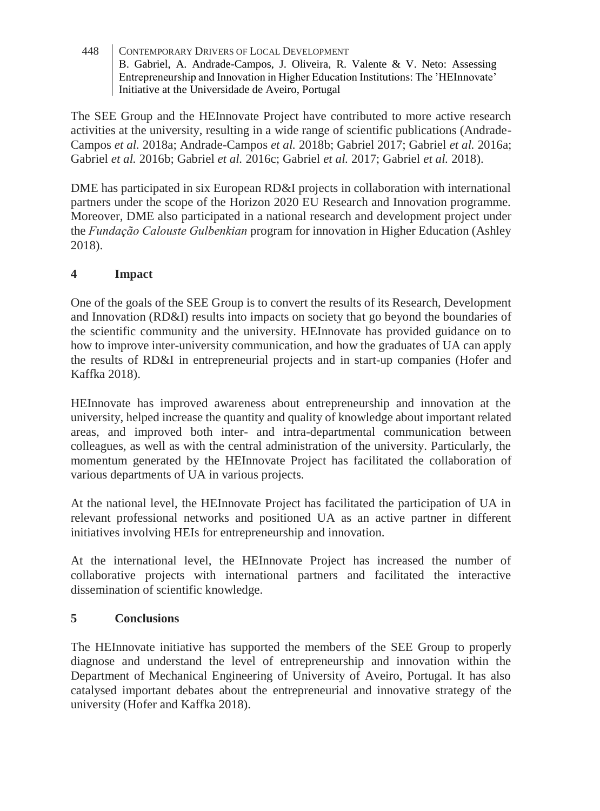The SEE Group and the HEInnovate Project have contributed to more active research activities at the university, resulting in a wide range of scientific publications (Andrade-Campos *et al.* 2018a; Andrade-Campos *et al.* 2018b; Gabriel 2017; Gabriel *et al.* 2016a; Gabriel *et al.* 2016b; Gabriel *et al.* 2016c; Gabriel *et al.* 2017; Gabriel *et al.* 2018).

DME has participated in six European RD&I projects in collaboration with international partners under the scope of the Horizon 2020 EU Research and Innovation programme. Moreover, DME also participated in a national research and development project under the *Fundação Calouste Gulbenkian* program for innovation in Higher Education (Ashley 2018).

# **4 Impact**

One of the goals of the SEE Group is to convert the results of its Research, Development and Innovation (RD&I) results into impacts on society that go beyond the boundaries of the scientific community and the university. HEInnovate has provided guidance on to how to improve inter-university communication, and how the graduates of UA can apply the results of RD&I in entrepreneurial projects and in start-up companies (Hofer and Kaffka 2018).

HEInnovate has improved awareness about entrepreneurship and innovation at the university, helped increase the quantity and quality of knowledge about important related areas, and improved both inter- and intra-departmental communication between colleagues, as well as with the central administration of the university. Particularly, the momentum generated by the HEInnovate Project has facilitated the collaboration of various departments of UA in various projects.

At the national level, the HEInnovate Project has facilitated the participation of UA in relevant professional networks and positioned UA as an active partner in different initiatives involving HEIs for entrepreneurship and innovation.

At the international level, the HEInnovate Project has increased the number of collaborative projects with international partners and facilitated the interactive dissemination of scientific knowledge.

### **5 Conclusions**

The HEInnovate initiative has supported the members of the SEE Group to properly diagnose and understand the level of entrepreneurship and innovation within the Department of Mechanical Engineering of University of Aveiro, Portugal. It has also catalysed important debates about the entrepreneurial and innovative strategy of the university (Hofer and Kaffka 2018).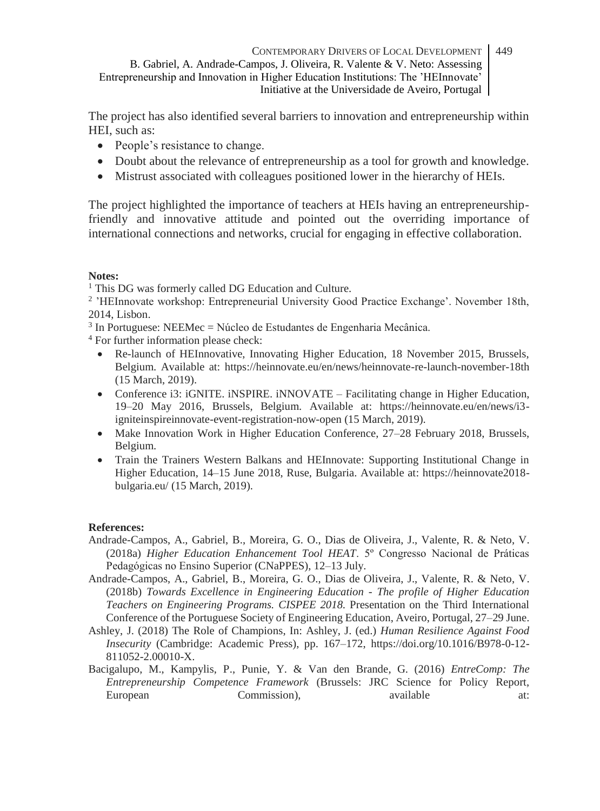The project has also identified several barriers to innovation and entrepreneurship within HEI, such as:

- People's resistance to change.
- Doubt about the relevance of entrepreneurship as a tool for growth and knowledge.
- Mistrust associated with colleagues positioned lower in the hierarchy of HEIs.

The project highlighted the importance of teachers at HEIs having an entrepreneurshipfriendly and innovative attitude and pointed out the overriding importance of international connections and networks, crucial for engaging in effective collaboration.

### **Notes:**

<sup>1</sup> This DG was formerly called DG Education and Culture.

<sup>2</sup> 'HEInnovate workshop: Entrepreneurial University Good Practice Exchange'. November 18th, 2014, Lisbon.

3 In Portuguese: NEEMec = Núcleo de Estudantes de Engenharia Mecânica.

<sup>4</sup> For further information please check:

- Re-launch of HEInnovative, Innovating Higher Education, 18 November 2015, Brussels, Belgium. Available at: https://heinnovate.eu/en/news/heinnovate-re-launch-november-18th (15 March, 2019).
- Conference i3: iGNITE. iNSPIRE. iNNOVATE Facilitating change in Higher Education, 19–20 May 2016, Brussels, Belgium. Available at: https://heinnovate.eu/en/news/i3 igniteinspireinnovate-event-registration-now-open (15 March, 2019).
- Make Innovation Work in Higher Education Conference, 27–28 February 2018, Brussels, Belgium.
- Train the Trainers Western Balkans and HEInnovate: Supporting Institutional Change in Higher Education, 14–15 June 2018, Ruse, Bulgaria. Available at: https://heinnovate2018 bulgaria.eu/ (15 March, 2019).

### **References:**

- Andrade-Campos, A., Gabriel, B., Moreira, G. O., Dias de Oliveira, J., Valente, R. & Neto, V. (2018a) *Higher Education Enhancement Tool HEAT*. 5º Congresso Nacional de Práticas Pedagógicas no Ensino Superior (CNaPPES), 12–13 July.
- Andrade-Campos, A., Gabriel, B., Moreira, G. O., Dias de Oliveira, J., Valente, R. & Neto, V. (2018b) *Towards Excellence in Engineering Education - The profile of Higher Education Teachers on Engineering Programs. CISPEE 2018.* Presentation on the Third International Conference of the Portuguese Society of Engineering Education, Aveiro, Portugal, 27–29 June.
- Ashley, J. (2018) The Role of Champions, In: Ashley, J. (ed.) *Human Resilience Against Food Insecurity* (Cambridge: Academic Press), pp. 167–172, https://doi.org/10.1016/B978-0-12- 811052-2.00010-X.
- Bacigalupo, M., Kampylis, P., Punie, Y. & Van den Brande, G. (2016) *EntreComp: The Entrepreneurship Competence Framework* (Brussels: JRC Science for Policy Report, European Commission), available at: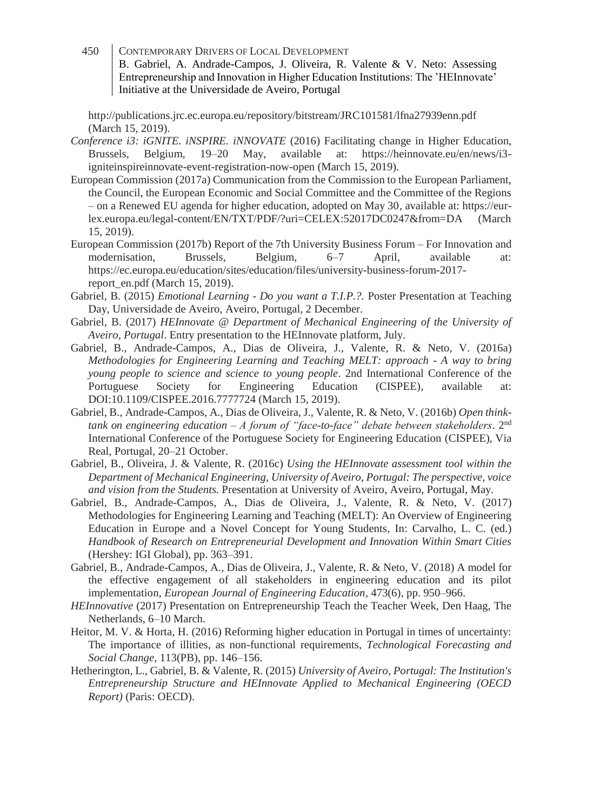http://publications.jrc.ec.europa.eu/repository/bitstream/JRC101581/lfna27939enn.pdf (March 15, 2019).

- *Conference i3: iGNITE. iNSPIRE. iNNOVATE* (2016) Facilitating change in Higher Education, Brussels, Belgium, 19–20 May, available at: https://heinnovate.eu/en/news/i3 igniteinspireinnovate-event-registration-now-open (March 15, 2019).
- European Commission (2017a) Communication from the Commission to the European Parliament, the Council, the European Economic and Social Committee and the Committee of the Regions – on a Renewed EU agenda for higher education, adopted on May 30, available at: https://eurlex.europa.eu/legal-content/EN/TXT/PDF/?uri=CELEX:52017DC0247&from=DA (March 15, 2019).
- European Commission (2017b) Report of the 7th University Business Forum For Innovation and modernisation, Brussels, Belgium, 6–7 April, available at: https://ec.europa.eu/education/sites/education/files/university-business-forum-2017 report\_en.pdf (March 15, 2019).
- Gabriel, B. (2015) *Emotional Learning - Do you want a T.I.P.?.* Poster Presentation at Teaching Day, Universidade de Aveiro, Aveiro, Portugal, 2 December.
- Gabriel, B. (2017) *HEInnovate @ Department of Mechanical Engineering of the University of Aveiro, Portugal*. Entry presentation to the HEInnovate platform, July.
- Gabriel, B., Andrade-Campos, A., Dias de Oliveira, J., Valente, R. & Neto, V. (2016a) *Methodologies for Engineering Learning and Teaching MELT: approach - A way to bring young people to science and science to young people*. 2nd International Conference of the Portuguese Society for Engineering Education (CISPEE), available at: DOI:10.1109/CISPEE.2016.7777724 (March 15, 2019).
- Gabriel, B., Andrade-Campos, A., Dias de Oliveira, J., Valente, R. & Neto, V. (2016b) *Open thinktank on engineering education – A forum of "face-to-face" debate between stakeholders*. 2nd International Conference of the Portuguese Society for Engineering Education (CISPEE), Via Real, Portugal, 20–21 October.
- Gabriel, B., Oliveira, J. & Valente, R. (2016c) *Using the HEInnovate assessment tool within the Department of Mechanical Engineering, University of Aveiro, Portugal: The perspective, voice and vision from the Students.* Presentation at University of Aveiro, Aveiro, Portugal, May.
- Gabriel, B., Andrade-Campos, A., Dias de Oliveira, J., Valente, R. & Neto, V. (2017) Methodologies for Engineering Learning and Teaching (MELT): An Overview of Engineering Education in Europe and a Novel Concept for Young Students, In: Carvalho, L. C. (ed.) *Handbook of Research on Entrepreneurial Development and Innovation Within Smart Cities* (Hershey: IGI Global), pp. 363–391.
- Gabriel, B., Andrade-Campos, A., Dias de Oliveira, J., Valente, R. & Neto, V. (2018) A model for the effective engagement of all stakeholders in engineering education and its pilot implementation, *European Journal of Engineering Education,* 473(6), pp. 950–966.
- *HEInnovative* (2017) Presentation on Entrepreneurship Teach the Teacher Week, Den Haag, The Netherlands, 6–10 March.
- Heitor, M. V. & Horta, H. (2016) Reforming higher education in Portugal in times of uncertainty: The importance of illities, as non-functional requirements, *Technological Forecasting and Social Change,* 113(PB), pp. 146–156.
- Hetherington, L., Gabriel, B. & Valente, R. (2015) *University of Aveiro, Portugal: The Institution's Entrepreneurship Structure and HEInnovate Applied to Mechanical Engineering (OECD Report)* (Paris: OECD).